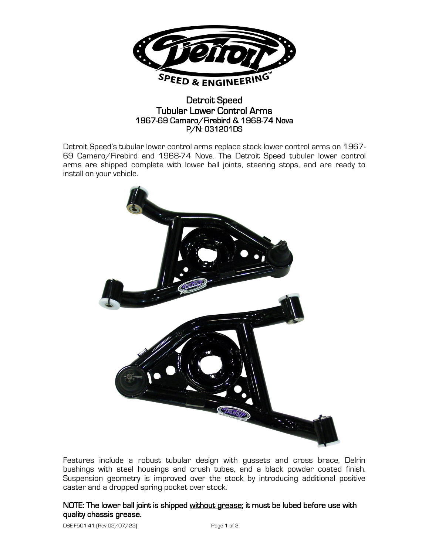

## Detroit Speed Tubular Lower Control Arms 1967-69 Camaro/Firebird & 1968-74 Nova P/N: 031201DS

Detroit Speed's tubular lower control arms replace stock lower control arms on 1967- 69 Camaro/Firebird and 1968-74 Nova. The Detroit Speed tubular lower control arms are shipped complete with lower ball joints, steering stops, and are ready to install on your vehicle.



Features include a robust tubular design with gussets and cross brace, Delrin bushings with steel housings and crush tubes, and a black powder coated finish. Suspension geometry is improved over the stock by introducing additional positive caster and a dropped spring pocket over stock.

## NOTE: The lower ball joint is shipped without grease; it must be lubed before use with quality chassis grease.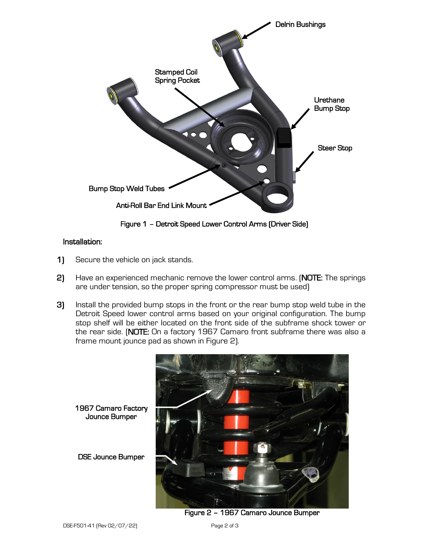

Figure 1 – Detroit Speed Lower Control Arms (Driver Side)

## Installation:

- 1) Secure the vehicle on jack stands.
- 2) Have an experienced mechanic remove the lower control arms. (NOTE: The springs are under tension, so the proper spring compressor must be used)
- 3) Install the provided bump stops in the front or the rear bump stop weld tube in the Detroit Speed lower control arms based on your original configuration. The bump stop shelf will be either located on the front side of the subframe shock tower or the rear side. (NOTE: On a factory 1967 Camaro front subframe there was also a frame mount jounce pad as shown in Figure 2).



Figure 2 – 1967 Camaro Jounce Bumper

Jounce Bumper